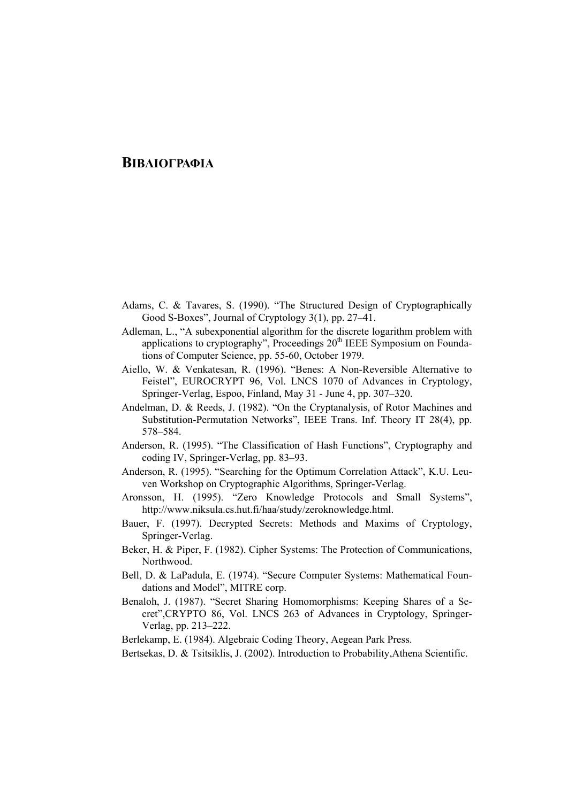## **ΒΙΒΛΙΟΓΡΑΦΙΑ**

- Adams, C. & Tavares, S. (1990). "The Structured Design of Cryptographically Good S-Boxes", Journal of Cryptology 3(1), pp. 27–41.
- Adleman, L., "A subexponential algorithm for the discrete logarithm problem with applications to cryptography", Proceedings 20<sup>th</sup> IEEE Symposium on Foundations of Computer Science, pp. 55-60, October 1979.
- Aiello, W. & Venkatesan, R. (1996). "Benes: A Non-Reversible Alternative to Feistel", EUROCRYPT 96, Vol. LNCS 1070 of Advances in Cryptology, Springer-Verlag, Espoo, Finland, May 31 - June 4, pp. 307–320.
- Andelman, D. & Reeds, J. (1982). "On the Cryptanalysis, of Rotor Machines and Substitution-Permutation Networks", IEEE Trans. Inf. Theory IT 28(4), pp. 578–584.
- Anderson, R. (1995). "The Classification of Hash Functions", Cryptography and coding IV, Springer-Verlag, pp. 83–93.
- Anderson, R. (1995). "Searching for the Optimum Correlation Attack", K.U. Leuven Workshop on Cryptographic Algorithms, Springer-Verlag.
- Aronsson, H. (1995). "Zero Knowledge Protocols and Small Systems", http://www.niksula.cs.hut.fi/haa/study/zeroknowledge.html.
- Bauer, F. (1997). Decrypted Secrets: Methods and Maxims of Cryptology, Springer-Verlag.
- Beker, H. & Piper, F. (1982). Cipher Systems: The Protection of Communications, Northwood.
- Bell, D. & LaPadula, E. (1974). "Secure Computer Systems: Mathematical Foundations and Model", MITRE corp.
- Benaloh, J. (1987). "Secret Sharing Homomorphisms: Keeping Shares of a Secret",CRYPTO 86, Vol. LNCS 263 of Advances in Cryptology, Springer-Verlag, pp. 213–222.

Berlekamp, E. (1984). Algebraic Coding Theory, Aegean Park Press.

Bertsekas, D. & Tsitsiklis, J. (2002). Introduction to Probability,Athena Scientific.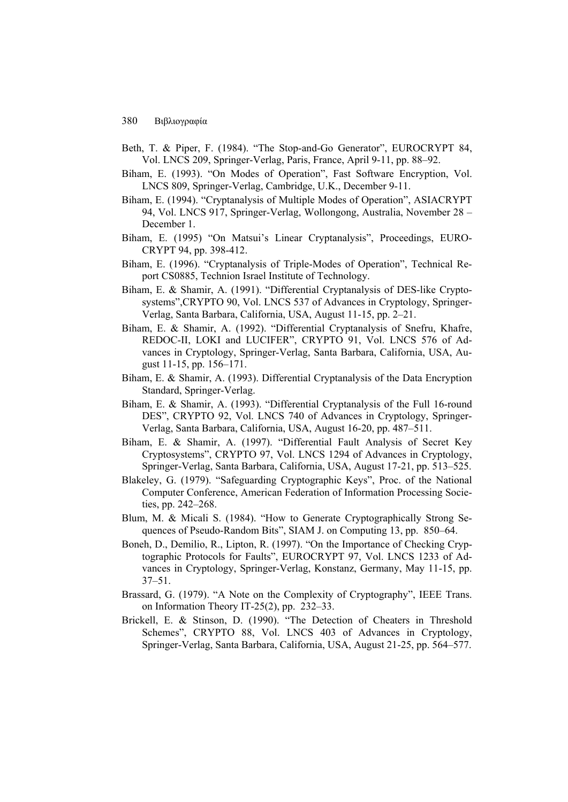- Beth, T. & Piper, F. (1984). "The Stop-and-Go Generator", EUROCRYPT 84, Vol. LNCS 209, Springer-Verlag, Paris, France, April 9-11, pp. 88–92.
- Biham, E. (1993). "On Modes of Operation", Fast Software Encryption, Vol. LNCS 809, Springer-Verlag, Cambridge, U.K., December 9-11.
- Biham, E. (1994). "Cryptanalysis of Multiple Modes of Operation", ASIACRYPT 94, Vol. LNCS 917, Springer-Verlag, Wollongong, Australia, November 28 – December 1.
- Biham, E. (1995) "On Matsui's Linear Cryptanalysis", Proceedings, EURO-CRYPT 94, pp. 398-412.
- Biham, E. (1996). "Cryptanalysis of Triple-Modes of Operation", Technical Report CS0885, Technion Israel Institute of Technology.
- Biham, E. & Shamir, A. (1991). "Differential Cryptanalysis of DES-like Cryptosystems",CRYPTO 90, Vol. LNCS 537 of Advances in Cryptology, Springer-Verlag, Santa Barbara, California, USA, August 11-15, pp. 2–21.
- Biham, E. & Shamir, A. (1992). "Differential Cryptanalysis of Snefru, Khafre, REDOC-II, LOKI and LUCIFER", CRYPTO 91, Vol. LNCS 576 of Advances in Cryptology, Springer-Verlag, Santa Barbara, California, USA, August 11-15, pp. 156–171.
- Biham, E. & Shamir, A. (1993). Differential Cryptanalysis of the Data Encryption Standard, Springer-Verlag.
- Biham, E. & Shamir, A. (1993). "Differential Cryptanalysis of the Full 16-round DES", CRYPTO 92, Vol. LNCS 740 of Advances in Cryptology, Springer-Verlag, Santa Barbara, California, USA, August 16-20, pp. 487–511.
- Biham, E. & Shamir, A. (1997). "Differential Fault Analysis of Secret Key Cryptosystems", CRYPTO 97, Vol. LNCS 1294 of Advances in Cryptology, Springer-Verlag, Santa Barbara, California, USA, August 17-21, pp. 513–525.
- Blakeley, G. (1979). "Safeguarding Cryptographic Keys", Proc. of the National Computer Conference, American Federation of Information Processing Societies, pp. 242–268.
- Blum, M. & Micali S. (1984). "How to Generate Cryptographically Strong Sequences of Pseudo-Random Bits", SIAM J. on Computing 13, pp. 850–64.
- Boneh, D., Demilio, R., Lipton, R. (1997). "On the Importance of Checking Cryptographic Protocols for Faults", EUROCRYPT 97, Vol. LNCS 1233 of Advances in Cryptology, Springer-Verlag, Konstanz, Germany, May 11-15, pp. 37–51.
- Brassard, G. (1979). "A Note on the Complexity of Cryptography", IEEE Trans. on Information Theory IT-25(2), pp. 232–33.
- Brickell, E. & Stinson, D. (1990). "The Detection of Cheaters in Threshold Schemes", CRYPTO 88, Vol. LNCS 403 of Advances in Cryptology, Springer-Verlag, Santa Barbara, California, USA, August 21-25, pp. 564–577.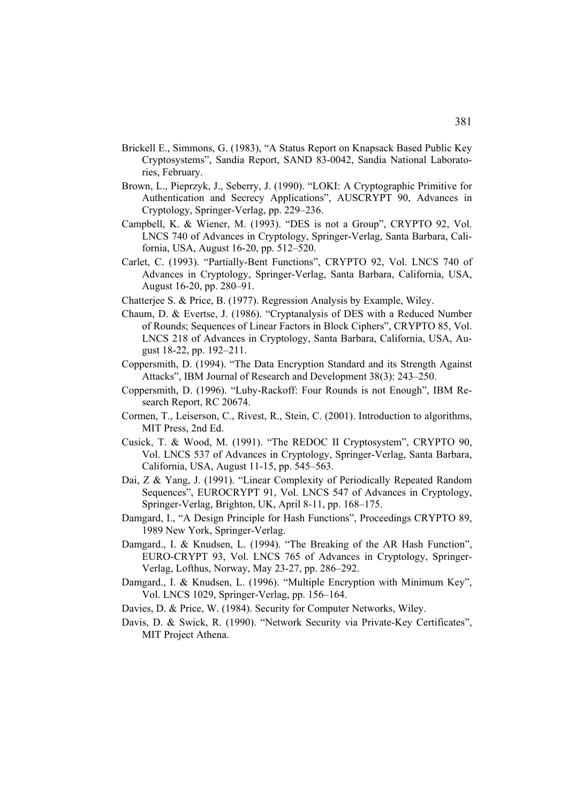- Brickell E., Simmons, G. (1983), "A Status Report on Knapsack Based Public Key Cryptosystems", Sandia Report, SAND 83-0042, Sandia National Laboratories, February.
- Brown, L., Pieprzyk, J., Seberry, J. (1990). "LOKI: A Cryptographic Primitive for Authentication and Secrecy Applications", AUSCRYPT 90, Advances in Cryptology, Springer-Verlag, pp. 229–236.
- Campbell, K. & Wiener, M. (1993). "DES is not a Group", CRYPTO 92, Vol. LNCS 740 of Advances in Cryptology, Springer-Verlag, Santa Barbara, California, USA, August 16-20, pp. 512–520.
- Carlet, C. (1993). "Partially-Bent Functions", CRYPTO 92, Vol. LNCS 740 of Advances in Cryptology, Springer-Verlag, Santa Barbara, California, USA, August 16-20, pp. 280–91.
- Chatterjee S. & Price, B. (1977). Regression Analysis by Example, Wiley.
- Chaum, D. & Evertse, J. (1986). "Cryptanalysis of DES with a Reduced Number of Rounds; Sequences of Linear Factors in Block Ciphers", CRYPTO 85, Vol. LNCS 218 of Advances in Cryptology, Santa Barbara, California, USA, August 18-22, pp. 192–211.
- Coppersmith, D. (1994). "The Data Encryption Standard and its Strength Against Attacks", IBM Journal of Research and Development 38(3): 243–250.
- Coppersmith, D. (1996). "Luby-Rackoff: Four Rounds is not Enough", IBM Research Report, RC 20674.
- Cormen, T., Leiserson, C., Rivest, R., Stein, C. (2001). Introduction to algorithms, MIT Press, 2nd Ed.
- Cusick, T. & Wood, M. (1991). "The REDOC II Cryptosystem", CRYPTO 90, Vol. LNCS 537 of Advances in Cryptology, Springer-Verlag, Santa Barbara, California, USA, August 11-15, pp. 545–563.
- Dai, Z & Yang, J. (1991). "Linear Complexity of Periodically Repeated Random Sequences", EUROCRYPT 91, Vol. LNCS 547 of Advances in Cryptology, Springer-Verlag, Brighton, UK, April 8-11, pp. 168–175.
- Damgard, I., "A Design Principle for Hash Functions", Proceedings CRYPTO 89, 1989 New York, Springer-Verlag.
- Damgard., I. & Knudsen, L. (1994). "The Breaking of the AR Hash Function", EURO-CRYPT 93, Vol. LNCS 765 of Advances in Cryptology, Springer-Verlag, Lofthus, Norway, May 23-27, pp. 286–292.
- Damgard., I. & Knudsen, L. (1996). "Multiple Encryption with Minimum Key", Vol. LNCS 1029, Springer-Verlag, pp. 156–164.
- Davies, D. & Price, W. (1984). Security for Computer Networks, Wiley.
- Davis, D. & Swick, R. (1990). "Network Security via Private-Key Certificates", MIT Project Athena.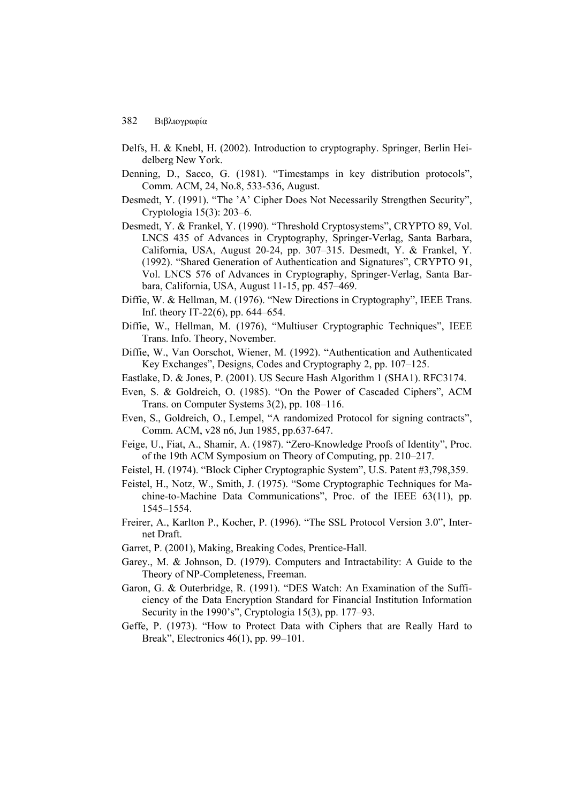- Delfs, H. & Knebl, H. (2002). Introduction to cryptography. Springer, Berlin Heidelberg New York.
- Denning, D., Sacco, G. (1981). "Timestamps in key distribution protocols", Comm. ACM, 24, No.8, 533-536, August.
- Desmedt, Y. (1991). "The 'A' Cipher Does Not Necessarily Strengthen Security", Cryptologia 15(3): 203–6.
- Desmedt, Y. & Frankel, Y. (1990). "Threshold Cryptosystems", CRYPTO 89, Vol. LNCS 435 of Advances in Cryptography, Springer-Verlag, Santa Barbara, California, USA, August 20-24, pp. 307–315. Desmedt, Y. & Frankel, Y. (1992). "Shared Generation of Authentication and Signatures", CRYPTO 91, Vol. LNCS 576 of Advances in Cryptography, Springer-Verlag, Santa Barbara, California, USA, August 11-15, pp. 457–469.
- Diffie, W. & Hellman, M. (1976). "New Directions in Cryptography", IEEE Trans. Inf. theory IT-22(6), pp. 644–654.
- Diffie, W., Hellman, M. (1976), "Multiuser Cryptographic Techniques", IEEE Trans. Info. Theory, November.
- Diffie, W., Van Oorschot, Wiener, M. (1992). "Authentication and Authenticated Key Exchanges", Designs, Codes and Cryptography 2, pp. 107–125.
- Eastlake, D. & Jones, P. (2001). US Secure Hash Algorithm 1 (SHA1). RFC3174.
- Even, S. & Goldreich, O. (1985). "On the Power of Cascaded Ciphers", ACM Trans. on Computer Systems 3(2), pp. 108–116.
- Even, S., Goldreich, O., Lempel, "A randomized Protocol for signing contracts", Comm. ACM, v28 n6, Jun 1985, pp.637-647.
- Feige, U., Fiat, A., Shamir, A. (1987). "Zero-Knowledge Proofs of Identity", Proc. of the 19th ACM Symposium on Theory of Computing, pp. 210–217.
- Feistel, H. (1974). "Block Cipher Cryptographic System", U.S. Patent #3,798,359.
- Feistel, H., Notz, W., Smith, J. (1975). "Some Cryptographic Techniques for Machine-to-Machine Data Communications", Proc. of the IEEE 63(11), pp. 1545–1554.
- Freirer, A., Karlton P., Kocher, P. (1996). "The SSL Protocol Version 3.0", Internet Draft.
- Garret, P. (2001), Making, Breaking Codes, Prentice-Hall.
- Garey., M. & Johnson, D. (1979). Computers and Intractability: A Guide to the Theory of NP-Completeness, Freeman.
- Garon, G. & Outerbridge, R. (1991). "DES Watch: An Examination of the Sufficiency of the Data Encryption Standard for Financial Institution Information Security in the 1990's", Cryptologia 15(3), pp. 177–93.
- Geffe, P. (1973). "How to Protect Data with Ciphers that are Really Hard to Break", Electronics 46(1), pp. 99–101.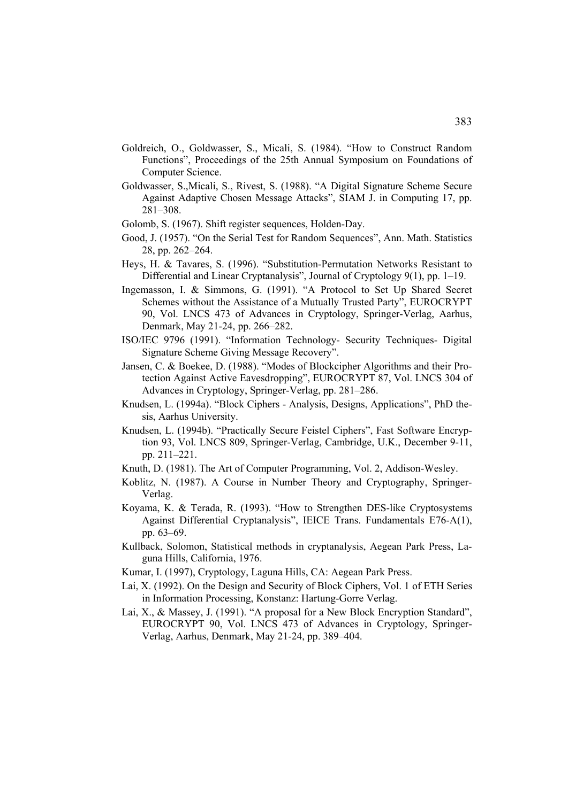- Goldreich, O., Goldwasser, S., Micali, S. (1984). "How to Construct Random Functions", Proceedings of the 25th Annual Symposium on Foundations of Computer Science.
- Goldwasser, S.,Micali, S., Rivest, S. (1988). "A Digital Signature Scheme Secure Against Adaptive Chosen Message Attacks", SIAM J. in Computing 17, pp. 281–308.
- Golomb, S. (1967). Shift register sequences, Holden-Day.
- Good, J. (1957). "On the Serial Test for Random Sequences", Ann. Math. Statistics 28, pp. 262–264.
- Heys, H. & Tavares, S. (1996). "Substitution-Permutation Networks Resistant to Differential and Linear Cryptanalysis", Journal of Cryptology 9(1), pp. 1–19.
- Ingemasson, I. & Simmons, G. (1991). "A Protocol to Set Up Shared Secret Schemes without the Assistance of a Mutually Trusted Party", EUROCRYPT 90, Vol. LNCS 473 of Advances in Cryptology, Springer-Verlag, Aarhus, Denmark, May 21-24, pp. 266–282.
- ISO/IEC 9796 (1991). "Information Technology- Security Techniques- Digital Signature Scheme Giving Message Recovery".
- Jansen, C. & Boekee, D. (1988). "Modes of Blockcipher Algorithms and their Protection Against Active Eavesdropping", EUROCRYPT 87, Vol. LNCS 304 of Advances in Cryptology, Springer-Verlag, pp. 281–286.
- Knudsen, L. (1994a). "Block Ciphers Analysis, Designs, Applications", PhD thesis, Aarhus University.
- Knudsen, L. (1994b). "Practically Secure Feistel Ciphers", Fast Software Encryption 93, Vol. LNCS 809, Springer-Verlag, Cambridge, U.K., December 9-11, pp. 211–221.
- Knuth, D. (1981). The Art of Computer Programming, Vol. 2, Addison-Wesley.
- Koblitz, N. (1987). A Course in Number Theory and Cryptography, Springer-Verlag.
- Koyama, K. & Terada, R. (1993). "How to Strengthen DES-like Cryptosystems Against Differential Cryptanalysis", IEICE Trans. Fundamentals E76-A(1), pp. 63–69.
- Kullback, Solomon, Statistical methods in cryptanalysis, Aegean Park Press, Laguna Hills, California, 1976.
- Kumar, I. (1997), Cryptology, Laguna Hills, CA: Aegean Park Press.
- Lai, X. (1992). On the Design and Security of Block Ciphers, Vol. 1 of ETH Series in Information Processing, Konstanz: Hartung-Gorre Verlag.
- Lai, X., & Massey, J. (1991). "A proposal for a New Block Encryption Standard", EUROCRYPT 90, Vol. LNCS 473 of Advances in Cryptology, Springer-Verlag, Aarhus, Denmark, May 21-24, pp. 389–404.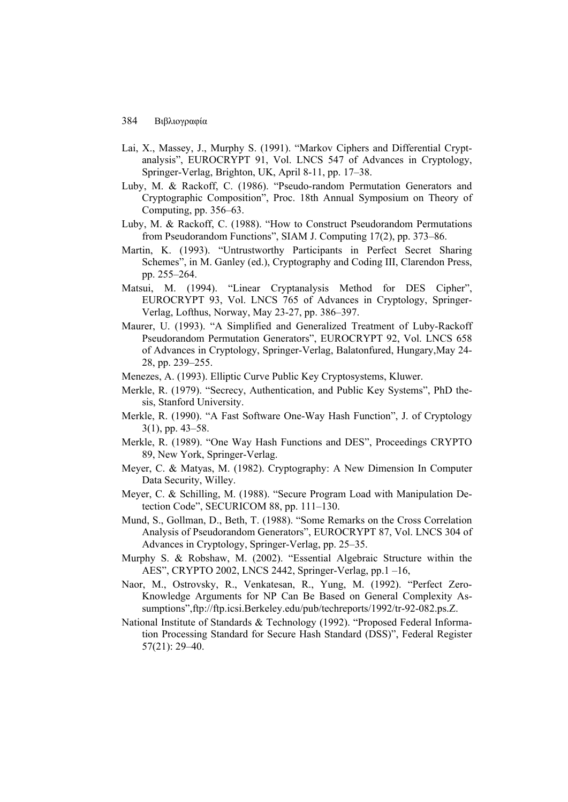- Lai, X., Massey, J., Murphy S. (1991). "Markov Ciphers and Differential Cryptanalysis", EUROCRYPT 91, Vol. LNCS 547 of Advances in Cryptology, Springer-Verlag, Brighton, UK, April 8-11, pp. 17–38.
- Luby, M. & Rackoff, C. (1986). "Pseudo-random Permutation Generators and Cryptographic Composition", Proc. 18th Annual Symposium on Theory of Computing, pp. 356–63.
- Luby, M. & Rackoff, C. (1988). "How to Construct Pseudorandom Permutations from Pseudorandom Functions", SIAM J. Computing 17(2), pp. 373–86.
- Martin, K. (1993). "Untrustworthy Participants in Perfect Secret Sharing Schemes", in M. Ganley (ed.), Cryptography and Coding III, Clarendon Press, pp. 255–264.
- Matsui, M. (1994). "Linear Cryptanalysis Method for DES Cipher", EUROCRYPT 93, Vol. LNCS 765 of Advances in Cryptology, Springer-Verlag, Lofthus, Norway, May 23-27, pp. 386–397.
- Maurer, U. (1993). "A Simplified and Generalized Treatment of Luby-Rackoff Pseudorandom Permutation Generators", EUROCRYPT 92, Vol. LNCS 658 of Advances in Cryptology, Springer-Verlag, Balatonfured, Hungary,May 24- 28, pp. 239–255.
- Menezes, A. (1993). Elliptic Curve Public Key Cryptosystems, Kluwer.
- Merkle, R. (1979). "Secrecy, Authentication, and Public Key Systems", PhD thesis, Stanford University.
- Merkle, R. (1990). "A Fast Software One-Way Hash Function", J. of Cryptology 3(1), pp. 43–58.
- Merkle, R. (1989). "One Way Hash Functions and DES", Proceedings CRYPTO 89, New York, Springer-Verlag.
- Meyer, C. & Matyas, M. (1982). Cryptography: A New Dimension In Computer Data Security, Willey.
- Meyer, C. & Schilling, M. (1988). "Secure Program Load with Manipulation Detection Code", SECURICOM 88, pp. 111–130.
- Mund, S., Gollman, D., Beth, T. (1988). "Some Remarks on the Cross Correlation Analysis of Pseudorandom Generators", EUROCRYPT 87, Vol. LNCS 304 of Advances in Cryptology, Springer-Verlag, pp. 25–35.
- Murphy S. & Robshaw, M. (2002). "Essential Algebraic Structure within the AES", CRYPTO 2002, LNCS 2442, Springer-Verlag, pp.1 –16,
- Naor, M., Ostrovsky, R., Venkatesan, R., Yung, M. (1992). "Perfect Zero-Knowledge Arguments for NP Can Be Based on General Complexity Assumptions",ftp://ftp.icsi.Berkeley.edu/pub/techreports/1992/tr-92-082.ps.Z.
- National Institute of Standards & Technology (1992). "Proposed Federal Information Processing Standard for Secure Hash Standard (DSS)", Federal Register 57(21): 29–40.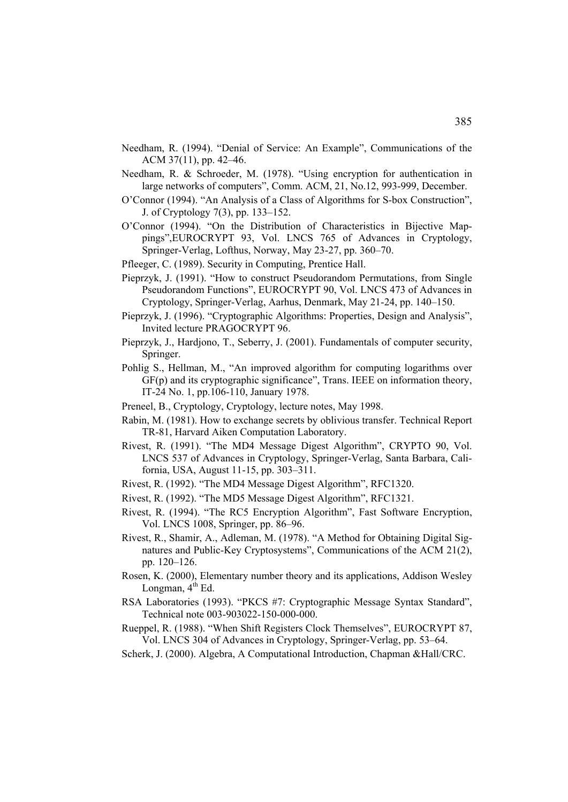- Needham, R. (1994). "Denial of Service: An Example", Communications of the ACM 37(11), pp. 42–46.
- Needham, R. & Schroeder, M. (1978). "Using encryption for authentication in large networks of computers", Comm. ACM, 21, No.12, 993-999, December.
- O'Connor (1994). "An Analysis of a Class of Algorithms for S-box Construction", J. of Cryptology 7(3), pp. 133–152.
- O'Connor (1994). "On the Distribution of Characteristics in Bijective Mappings",EUROCRYPT 93, Vol. LNCS 765 of Advances in Cryptology, Springer-Verlag, Lofthus, Norway, May 23-27, pp. 360–70.
- Pfleeger, C. (1989). Security in Computing, Prentice Hall.
- Pieprzyk, J. (1991). "How to construct Pseudorandom Permutations, from Single Pseudorandom Functions", EUROCRYPT 90, Vol. LNCS 473 of Advances in Cryptology, Springer-Verlag, Aarhus, Denmark, May 21-24, pp. 140–150.
- Pieprzyk, J. (1996). "Cryptographic Algorithms: Properties, Design and Analysis", Invited lecture PRAGOCRYPT 96.
- Pieprzyk, J., Hardjono, T., Seberry, J. (2001). Fundamentals of computer security, Springer.
- Pohlig S., Hellman, M., "An improved algorithm for computing logarithms over GF(p) and its cryptographic significance", Trans. IEEE on information theory, IT-24 No. 1, pp.106-110, January 1978.
- Preneel, B., Cryptology, Cryptology, lecture notes, May 1998.
- Rabin, M. (1981). How to exchange secrets by oblivious transfer. Technical Report TR-81, Harvard Aiken Computation Laboratory.
- Rivest, R. (1991). "The MD4 Message Digest Algorithm", CRYPTO 90, Vol. LNCS 537 of Advances in Cryptology, Springer-Verlag, Santa Barbara, California, USA, August 11-15, pp. 303–311.
- Rivest, R. (1992). "The MD4 Message Digest Algorithm", RFC1320.
- Rivest, R. (1992). "The MD5 Message Digest Algorithm", RFC1321.
- Rivest, R. (1994). "The RC5 Encryption Algorithm", Fast Software Encryption, Vol. LNCS 1008, Springer, pp. 86–96.
- Rivest, R., Shamir, A., Adleman, M. (1978). "A Method for Obtaining Digital Signatures and Public-Key Cryptosystems", Communications of the ACM 21(2), pp. 120–126.
- Rosen, K. (2000), Elementary number theory and its applications, Addison Wesley Longman,  $4^{th}$  Ed.
- RSA Laboratories (1993). "PKCS #7: Cryptographic Message Syntax Standard", Technical note 003-903022-150-000-000.
- Rueppel, R. (1988). "When Shift Registers Clock Themselves", EUROCRYPT 87, Vol. LNCS 304 of Advances in Cryptology, Springer-Verlag, pp. 53–64.
- Scherk, J. (2000). Algebra, A Computational Introduction, Chapman &Hall/CRC.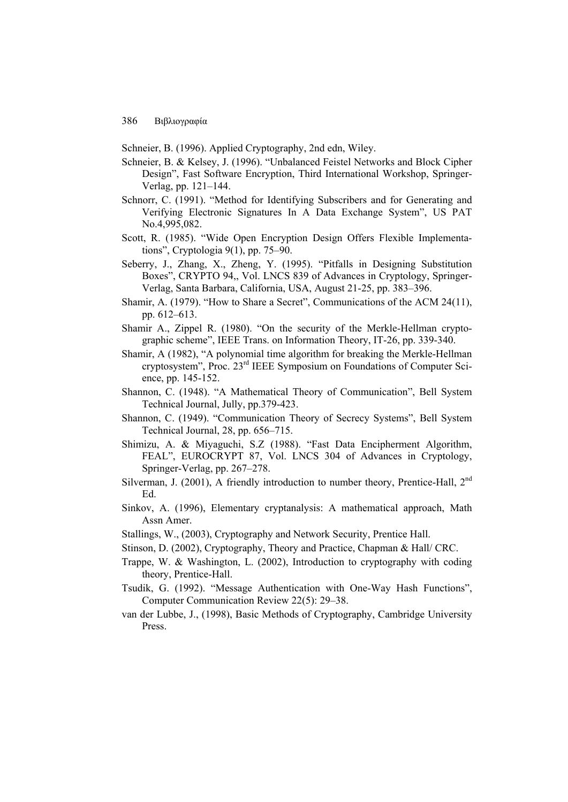Schneier, B. (1996). Applied Cryptography, 2nd edn, Wiley.

- Schneier, B. & Kelsey, J. (1996). "Unbalanced Feistel Networks and Block Cipher Design", Fast Software Encryption, Third International Workshop, Springer-Verlag, pp. 121–144.
- Schnorr, C. (1991). "Method for Identifying Subscribers and for Generating and Verifying Electronic Signatures In A Data Exchange System", US PAT No.4,995,082.
- Scott, R. (1985). "Wide Open Encryption Design Offers Flexible Implementations", Cryptologia 9(1), pp. 75–90.
- Seberry, J., Zhang, X., Zheng, Y. (1995). "Pitfalls in Designing Substitution Boxes", CRYPTO 94,, Vol. LNCS 839 of Advances in Cryptology, Springer-Verlag, Santa Barbara, California, USA, August 21-25, pp. 383–396.
- Shamir, A. (1979). "How to Share a Secret", Communications of the ACM 24(11), pp. 612–613.
- Shamir A., Zippel R. (1980). "On the security of the Merkle-Hellman cryptographic scheme", IEEE Trans. on Information Theory, IT-26, pp. 339-340.
- Shamir, A (1982), "A polynomial time algorithm for breaking the Merkle-Hellman cryptosystem", Proc. 23rd IEEE Symposium on Foundations of Computer Science, pp. 145-152.
- Shannon, C. (1948). "A Mathematical Theory of Communication", Bell System Technical Journal, Jully, pp.379-423.
- Shannon, C. (1949). "Communication Theory of Secrecy Systems", Bell System Technical Journal, 28, pp. 656–715.
- Shimizu, A. & Miyaguchi, S.Z (1988). "Fast Data Encipherment Algorithm, FEAL", EUROCRYPT 87, Vol. LNCS 304 of Advances in Cryptology, Springer-Verlag, pp. 267–278.
- Silverman, J. (2001), A friendly introduction to number theory, Prentice-Hall,  $2<sup>nd</sup>$ Ed.
- Sinkov, A. (1996), Elementary cryptanalysis: A mathematical approach, Math Assn Amer.
- Stallings, W., (2003), Cryptography and Network Security, Prentice Hall.
- Stinson, D. (2002), Cryptography, Theory and Practice, Chapman & Hall/ CRC.
- Trappe, W. & Washington, L. (2002), Introduction to cryptography with coding theory, Prentice-Hall.
- Tsudik, G. (1992). "Message Authentication with One-Way Hash Functions", Computer Communication Review 22(5): 29–38.
- van der Lubbe, J., (1998), Basic Methods of Cryptography, Cambridge University Press.